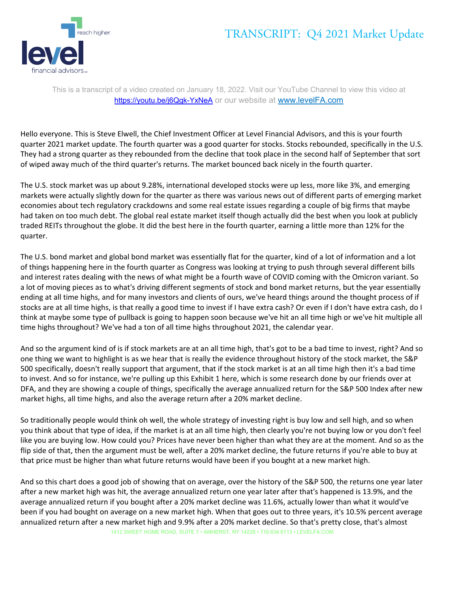## TRANSCRIPT: Q4 2021 Market Update



This is a transcript of a video created on January 18, 2022. Visit our YouTube Channel to view this video at https://youtu.be/j6Qgk-YxNeA or our website at www.levelFA.com

Hello everyone. This is Steve Elwell, the Chief Investment Officer at Level Financial Advisors, and this is your fourth quarter 2021 market update. The fourth quarter was a good quarter for stocks. Stocks rebounded, specifically in the U.S. They had a strong quarter as they rebounded from the decline that took place in the second half of September that sort of wiped away much of the third quarter's returns. The market bounced back nicely in the fourth quarter.

The U.S. stock market was up about 9.28%, international developed stocks were up less, more like 3%, and emerging markets were actually slightly down for the quarter as there was various news out of different parts of emerging market economies about tech regulatory crackdowns and some real estate issues regarding a couple of big firms that maybe had taken on too much debt. The global real estate market itself though actually did the best when you look at publicly traded REITs throughout the globe. It did the best here in the fourth quarter, earning a little more than 12% for the quarter.

The U.S. bond market and global bond market was essentially flat for the quarter, kind of a lot of information and a lot of things happening here in the fourth quarter as Congress was looking at trying to push through several different bills and interest rates dealing with the news of what might be a fourth wave of COVID coming with the Omicron variant. So a lot of moving pieces as to what's driving different segments of stock and bond market returns, but the year essentially ending at all time highs, and for many investors and clients of ours, we've heard things around the thought process of if stocks are at all time highs, is that really a good time to invest if I have extra cash? Or even if I don't have extra cash, do I think at maybe some type of pullback is going to happen soon because we've hit an all time high or we've hit multiple all time highs throughout? We've had a ton of all time highs throughout 2021, the calendar year.

And so the argument kind of is if stock markets are at an all time high, that's got to be a bad time to invest, right? And so one thing we want to highlight is as we hear that is really the evidence throughout history of the stock market, the S&P 500 specifically, doesn't really support that argument, that if the stock market is at an all time high then it's a bad time to invest. And so for instance, we're pulling up this Exhibit 1 here, which is some research done by our friends over at DFA, and they are showing a couple of things, specifically the average annualized return for the S&P 500 Index after new market highs, all time highs, and also the average return after a 20% market decline.

So traditionally people would think oh well, the whole strategy of investing right is buy low and sell high, and so when you think about that type of idea, if the market is at an all time high, then clearly you're not buying low or you don't feel like you are buying low. How could you? Prices have never been higher than what they are at the moment. And so as the flip side of that, then the argument must be well, after a 20% market decline, the future returns if you're able to buy at that price must be higher than what future returns would have been if you bought at a new market high.

1412 SWEET HOME ROAD, SUITE 7 • AMHERST, NY 14228 • 716.634.6113 • LEVELFA.COM And so this chart does a good job of showing that on average, over the history of the S&P 500, the returns one year later after a new market high was hit, the average annualized return one year later after that's happened is 13.9%, and the average annualized return if you bought after a 20% market decline was 11.6%, actually lower than what it would've been if you had bought on average on a new market high. When that goes out to three years, it's 10.5% percent average annualized return after a new market high and 9.9% after a 20% market decline. So that's pretty close, that's almost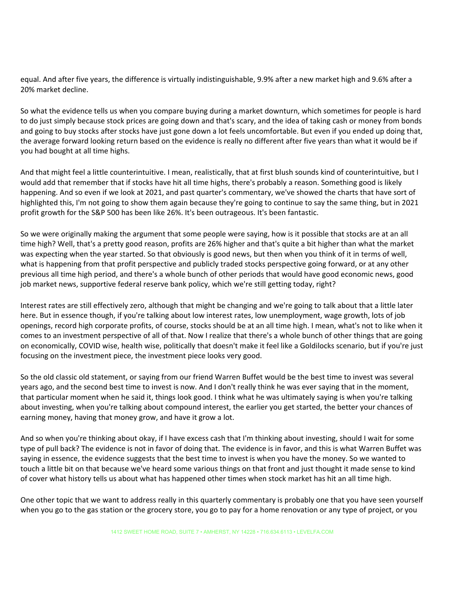equal. And after five years, the difference is virtually indistinguishable, 9.9% after a new market high and 9.6% after a 20% market decline.

So what the evidence tells us when you compare buying during a market downturn, which sometimes for people is hard to do just simply because stock prices are going down and that's scary, and the idea of taking cash or money from bonds and going to buy stocks after stocks have just gone down a lot feels uncomfortable. But even if you ended up doing that, the average forward looking return based on the evidence is really no different after five years than what it would be if you had bought at all time highs.

And that might feel a little counterintuitive. I mean, realistically, that at first blush sounds kind of counterintuitive, but I would add that remember that if stocks have hit all time highs, there's probably a reason. Something good is likely happening. And so even if we look at 2021, and past quarter's commentary, we've showed the charts that have sort of highlighted this, I'm not going to show them again because they're going to continue to say the same thing, but in 2021 profit growth for the S&P 500 has been like 26%. It's been outrageous. It's been fantastic.

So we were originally making the argument that some people were saying, how is it possible that stocks are at an all time high? Well, that's a pretty good reason, profits are 26% higher and that's quite a bit higher than what the market was expecting when the year started. So that obviously is good news, but then when you think of it in terms of well, what is happening from that profit perspective and publicly traded stocks perspective going forward, or at any other previous all time high period, and there's a whole bunch of other periods that would have good economic news, good job market news, supportive federal reserve bank policy, which we're still getting today, right?

Interest rates are still effectively zero, although that might be changing and we're going to talk about that a little later here. But in essence though, if you're talking about low interest rates, low unemployment, wage growth, lots of job openings, record high corporate profits, of course, stocks should be at an all time high. I mean, what's not to like when it comes to an investment perspective of all of that. Now I realize that there's a whole bunch of other things that are going on economically, COVID wise, health wise, politically that doesn't make it feel like a Goldilocks scenario, but if you're just focusing on the investment piece, the investment piece looks very good.

So the old classic old statement, or saying from our friend Warren Buffet would be the best time to invest was several years ago, and the second best time to invest is now. And I don't really think he was ever saying that in the moment, that particular moment when he said it, things look good. I think what he was ultimately saying is when you're talking about investing, when you're talking about compound interest, the earlier you get started, the better your chances of earning money, having that money grow, and have it grow a lot.

And so when you're thinking about okay, if I have excess cash that I'm thinking about investing, should I wait for some type of pull back? The evidence is not in favor of doing that. The evidence is in favor, and this is what Warren Buffet was saying in essence, the evidence suggests that the best time to invest is when you have the money. So we wanted to touch a little bit on that because we've heard some various things on that front and just thought it made sense to kind of cover what history tells us about what has happened other times when stock market has hit an all time high.

One other topic that we want to address really in this quarterly commentary is probably one that you have seen yourself when you go to the gas station or the grocery store, you go to pay for a home renovation or any type of project, or you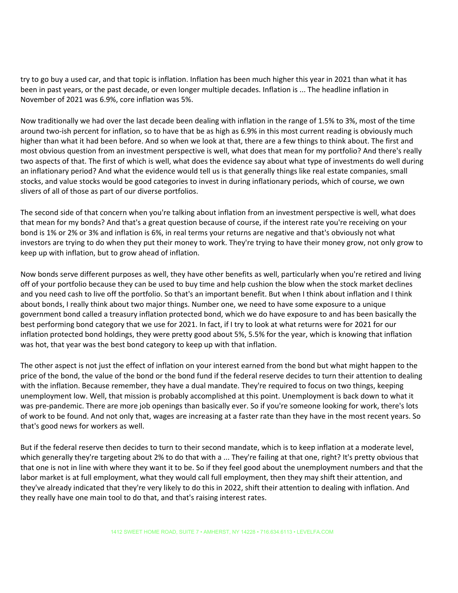try to go buy a used car, and that topic is inflation. Inflation has been much higher this year in 2021 than what it has been in past years, or the past decade, or even longer multiple decades. Inflation is ... The headline inflation in November of 2021 was 6.9%, core inflation was 5%.

Now traditionally we had over the last decade been dealing with inflation in the range of 1.5% to 3%, most of the time around two-ish percent for inflation, so to have that be as high as 6.9% in this most current reading is obviously much higher than what it had been before. And so when we look at that, there are a few things to think about. The first and most obvious question from an investment perspective is well, what does that mean for my portfolio? And there's really two aspects of that. The first of which is well, what does the evidence say about what type of investments do well during an inflationary period? And what the evidence would tell us is that generally things like real estate companies, small stocks, and value stocks would be good categories to invest in during inflationary periods, which of course, we own slivers of all of those as part of our diverse portfolios.

The second side of that concern when you're talking about inflation from an investment perspective is well, what does that mean for my bonds? And that's a great question because of course, if the interest rate you're receiving on your bond is 1% or 2% or 3% and inflation is 6%, in real terms your returns are negative and that's obviously not what investors are trying to do when they put their money to work. They're trying to have their money grow, not only grow to keep up with inflation, but to grow ahead of inflation.

Now bonds serve different purposes as well, they have other benefits as well, particularly when you're retired and living off of your portfolio because they can be used to buy time and help cushion the blow when the stock market declines and you need cash to live off the portfolio. So that's an important benefit. But when I think about inflation and I think about bonds, I really think about two major things. Number one, we need to have some exposure to a unique government bond called a treasury inflation protected bond, which we do have exposure to and has been basically the best performing bond category that we use for 2021. In fact, if I try to look at what returns were for 2021 for our inflation protected bond holdings, they were pretty good about 5%, 5.5% for the year, which is knowing that inflation was hot, that year was the best bond category to keep up with that inflation.

The other aspect is not just the effect of inflation on your interest earned from the bond but what might happen to the price of the bond, the value of the bond or the bond fund if the federal reserve decides to turn their attention to dealing with the inflation. Because remember, they have a dual mandate. They're required to focus on two things, keeping unemployment low. Well, that mission is probably accomplished at this point. Unemployment is back down to what it was pre-pandemic. There are more job openings than basically ever. So if you're someone looking for work, there's lots of work to be found. And not only that, wages are increasing at a faster rate than they have in the most recent years. So that's good news for workers as well.

But if the federal reserve then decides to turn to their second mandate, which is to keep inflation at a moderate level, which generally they're targeting about 2% to do that with a ... They're failing at that one, right? It's pretty obvious that that one is not in line with where they want it to be. So if they feel good about the unemployment numbers and that the labor market is at full employment, what they would call full employment, then they may shift their attention, and they've already indicated that they're very likely to do this in 2022, shift their attention to dealing with inflation. And they really have one main tool to do that, and that's raising interest rates.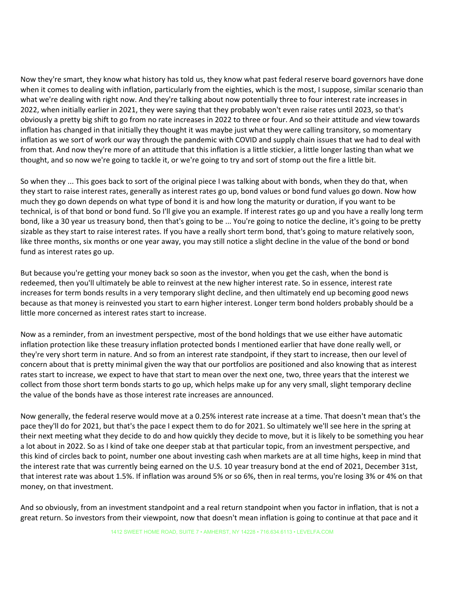Now they're smart, they know what history has told us, they know what past federal reserve board governors have done when it comes to dealing with inflation, particularly from the eighties, which is the most, I suppose, similar scenario than what we're dealing with right now. And they're talking about now potentially three to four interest rate increases in 2022, when initially earlier in 2021, they were saying that they probably won't even raise rates until 2023, so that's obviously a pretty big shift to go from no rate increases in 2022 to three or four. And so their attitude and view towards inflation has changed in that initially they thought it was maybe just what they were calling transitory, so momentary inflation as we sort of work our way through the pandemic with COVID and supply chain issues that we had to deal with from that. And now they're more of an attitude that this inflation is a little stickier, a little longer lasting than what we thought, and so now we're going to tackle it, or we're going to try and sort of stomp out the fire a little bit.

So when they ... This goes back to sort of the original piece I was talking about with bonds, when they do that, when they start to raise interest rates, generally as interest rates go up, bond values or bond fund values go down. Now how much they go down depends on what type of bond it is and how long the maturity or duration, if you want to be technical, is of that bond or bond fund. So I'll give you an example. If interest rates go up and you have a really long term bond, like a 30 year us treasury bond, then that's going to be ... You're going to notice the decline, it's going to be pretty sizable as they start to raise interest rates. If you have a really short term bond, that's going to mature relatively soon, like three months, six months or one year away, you may still notice a slight decline in the value of the bond or bond fund as interest rates go up.

But because you're getting your money back so soon as the investor, when you get the cash, when the bond is redeemed, then you'll ultimately be able to reinvest at the new higher interest rate. So in essence, interest rate increases for term bonds results in a very temporary slight decline, and then ultimately end up becoming good news because as that money is reinvested you start to earn higher interest. Longer term bond holders probably should be a little more concerned as interest rates start to increase.

Now as a reminder, from an investment perspective, most of the bond holdings that we use either have automatic inflation protection like these treasury inflation protected bonds I mentioned earlier that have done really well, or they're very short term in nature. And so from an interest rate standpoint, if they start to increase, then our level of concern about that is pretty minimal given the way that our portfolios are positioned and also knowing that as interest rates start to increase, we expect to have that start to mean over the next one, two, three years that the interest we collect from those short term bonds starts to go up, which helps make up for any very small, slight temporary decline the value of the bonds have as those interest rate increases are announced.

Now generally, the federal reserve would move at a 0.25% interest rate increase at a time. That doesn't mean that's the pace they'll do for 2021, but that's the pace I expect them to do for 2021. So ultimately we'll see here in the spring at their next meeting what they decide to do and how quickly they decide to move, but it is likely to be something you hear a lot about in 2022. So as I kind of take one deeper stab at that particular topic, from an investment perspective, and this kind of circles back to point, number one about investing cash when markets are at all time highs, keep in mind that the interest rate that was currently being earned on the U.S. 10 year treasury bond at the end of 2021, December 31st, that interest rate was about 1.5%. If inflation was around 5% or so 6%, then in real terms, you're losing 3% or 4% on that money, on that investment.

And so obviously, from an investment standpoint and a real return standpoint when you factor in inflation, that is not a great return. So investors from their viewpoint, now that doesn't mean inflation is going to continue at that pace and it